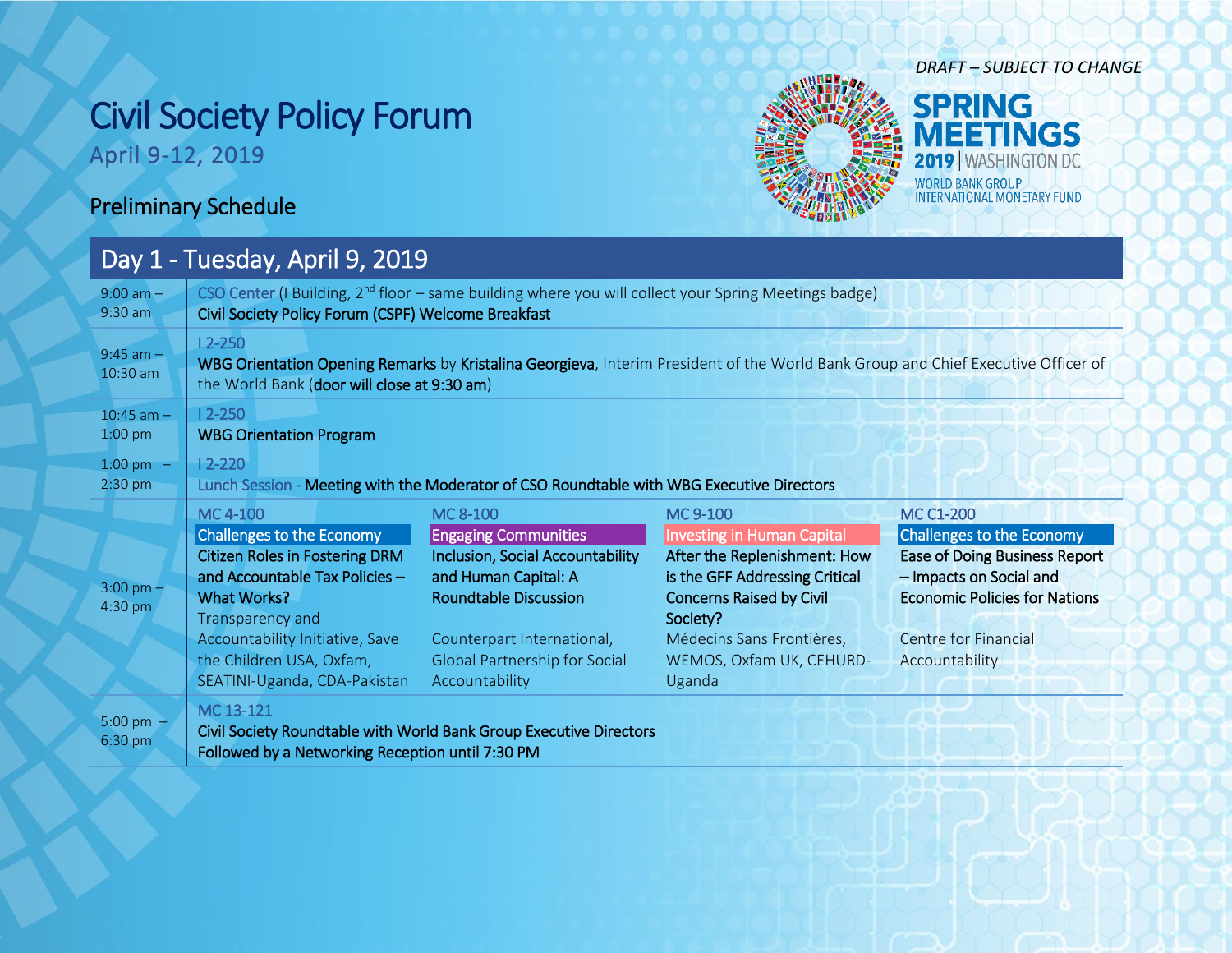## Civil Society Policy Forum

April 9-12, 2019



## *DRAFT – SUBJECT TO CHANGE*

**SPRING EETINGS** 2019 | WASHINGTON DC WORLD BANK GROUP<br>INTERNATIONAL MONETARY FUND

## Preliminary Schedule

## Day 1 - Tuesday, April 9, 2019

| $9:00$ am $-$                  | CSO Center (I Building, $2nd$ floor – same building where you will collect your Spring Meetings badge)                                                                                                                                             |                                                                                                                                                                                                                                    |                                                                                                                                                                                                                                   |                                                                                                                                                                                                           |  |
|--------------------------------|----------------------------------------------------------------------------------------------------------------------------------------------------------------------------------------------------------------------------------------------------|------------------------------------------------------------------------------------------------------------------------------------------------------------------------------------------------------------------------------------|-----------------------------------------------------------------------------------------------------------------------------------------------------------------------------------------------------------------------------------|-----------------------------------------------------------------------------------------------------------------------------------------------------------------------------------------------------------|--|
| $9:30$ am                      | Civil Society Policy Forum (CSPF) Welcome Breakfast                                                                                                                                                                                                |                                                                                                                                                                                                                                    |                                                                                                                                                                                                                                   |                                                                                                                                                                                                           |  |
| $9:45$ am $-$<br>$10:30$ am    | $12 - 250$<br>WBG Orientation Opening Remarks by Kristalina Georgieva, Interim President of the World Bank Group and Chief Executive Officer of<br>the World Bank (door will close at 9:30 am)                                                     |                                                                                                                                                                                                                                    |                                                                                                                                                                                                                                   |                                                                                                                                                                                                           |  |
| $10:45$ am $-$                 | $12 - 250$                                                                                                                                                                                                                                         |                                                                                                                                                                                                                                    |                                                                                                                                                                                                                                   |                                                                                                                                                                                                           |  |
| 1:00 pm                        | <b>WBG Orientation Program</b>                                                                                                                                                                                                                     |                                                                                                                                                                                                                                    |                                                                                                                                                                                                                                   |                                                                                                                                                                                                           |  |
| 1:00 pm $-$                    | $12 - 220$                                                                                                                                                                                                                                         |                                                                                                                                                                                                                                    |                                                                                                                                                                                                                                   |                                                                                                                                                                                                           |  |
| $2:30$ pm                      | Lunch Session - Meeting with the Moderator of CSO Roundtable with WBG Executive Directors                                                                                                                                                          |                                                                                                                                                                                                                                    |                                                                                                                                                                                                                                   |                                                                                                                                                                                                           |  |
| $3:00 \text{ pm} -$<br>4:30 pm | MC 4-100<br>Challenges to the Economy<br><b>Citizen Roles in Fostering DRM</b><br>and Accountable Tax Policies -<br>What Works?<br>Transparency and<br>Accountability Initiative, Save<br>the Children USA, Oxfam,<br>SEATINI-Uganda, CDA-Pakistan | MC 8-100<br><b>Engaging Communities</b><br><b>Inclusion, Social Accountability</b><br>and Human Capital: A<br><b>Roundtable Discussion</b><br>Counterpart International,<br><b>Global Partnership for Social</b><br>Accountability | MC 9-100<br><b>Investing in Human Capital</b><br>After the Replenishment: How<br>is the GFF Addressing Critical<br><b>Concerns Raised by Civil</b><br>Society?<br>Médecins Sans Frontières,<br>WEMOS, Oxfam UK, CEHURD-<br>Uganda | <b>MC C1-200</b><br>Challenges to the Economy<br><b>Ease of Doing Business Report</b><br>- Impacts on Social and<br><b>Economic Policies for Nations</b><br><b>Centre for Financial</b><br>Accountability |  |
| 5:00 pm $-$<br>6:30 pm         | MC 13-121<br>Followed by a Networking Reception until 7:30 PM                                                                                                                                                                                      | Civil Society Roundtable with World Bank Group Executive Directors                                                                                                                                                                 |                                                                                                                                                                                                                                   |                                                                                                                                                                                                           |  |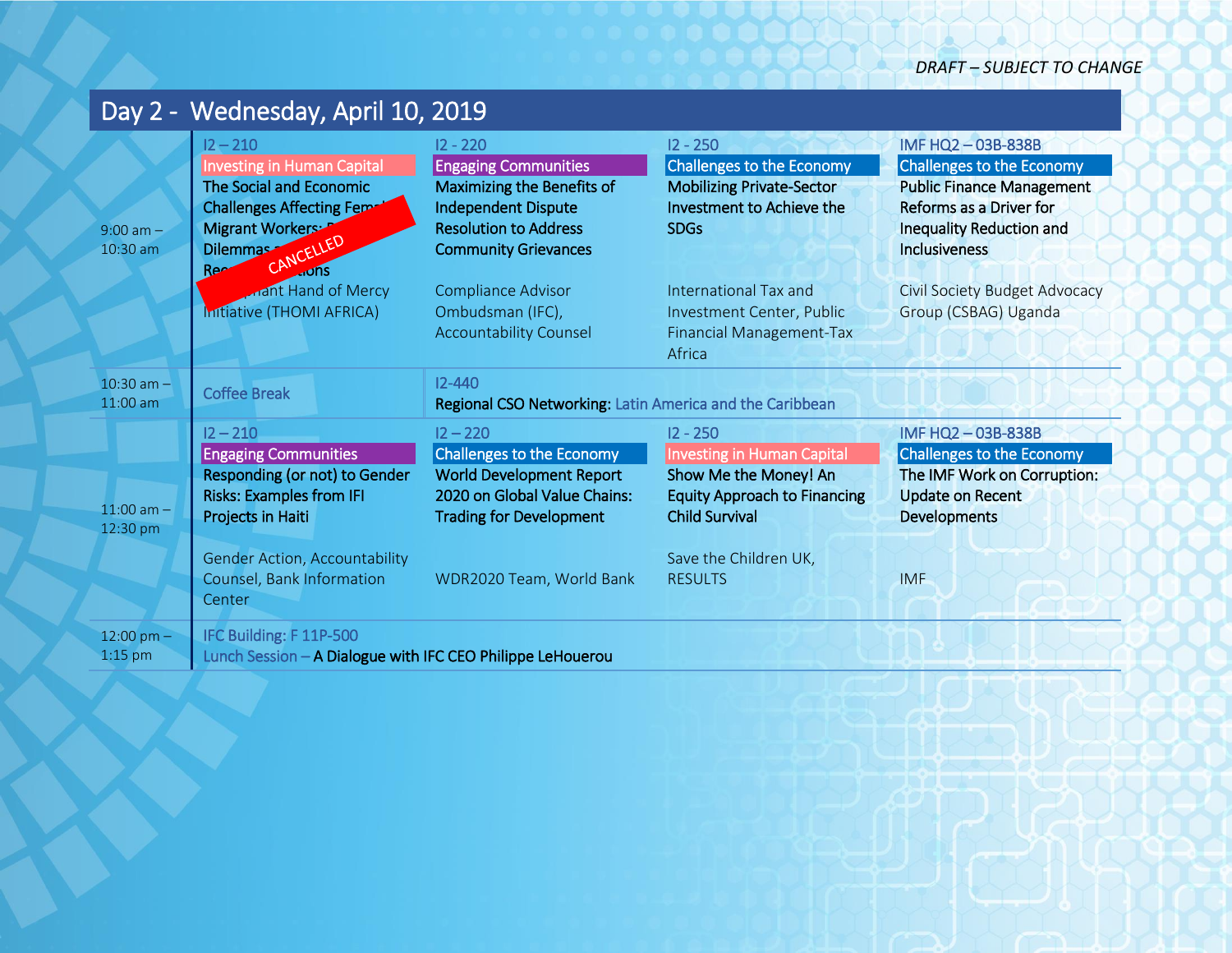|                              | Day 2 - Wednesday, April 10, 2019                                                                                                                                                                       |                                                                                                                                                                          |                                                                                                                                                                                     |                                                                                                                                                                         |
|------------------------------|---------------------------------------------------------------------------------------------------------------------------------------------------------------------------------------------------------|--------------------------------------------------------------------------------------------------------------------------------------------------------------------------|-------------------------------------------------------------------------------------------------------------------------------------------------------------------------------------|-------------------------------------------------------------------------------------------------------------------------------------------------------------------------|
| $9:00$ am $-$<br>10:30 am    | $12 - 210$<br><b>Investing in Human Capital</b><br>The Social and Economic<br><b>Challenges Affecting Fema</b><br>Migrant Workers: F<br>CANCELLED<br>Dilemmas<br>Ree                                    | $12 - 220$<br><b>Engaging Communities</b><br>Maximizing the Benefits of<br><b>Independent Dispute</b><br><b>Resolution to Address</b><br><b>Community Grievances</b>     | $12 - 250$<br><b>Challenges to the Economy</b><br><b>Mobilizing Private-Sector</b><br>Investment to Achieve the<br><b>SDGs</b>                                                      | IMF HQ2-03B-838B<br>Challenges to the Economy<br><b>Public Finance Management</b><br>Reforms as a Driver for<br><b>Inequality Reduction and</b><br><b>Inclusiveness</b> |
|                              | <b>Anant Hand of Mercy</b><br>Initiative (THOMI AFRICA)                                                                                                                                                 | Compliance Advisor<br>Ombudsman (IFC),<br><b>Accountability Counsel</b>                                                                                                  | International Tax and<br>Investment Center, Public<br><b>Financial Management-Tax</b><br>Africa                                                                                     | Civil Society Budget Advocacy<br>Group (CSBAG) Uganda                                                                                                                   |
| $10:30$ am $-$<br>$11:00$ am | <b>Coffee Break</b>                                                                                                                                                                                     | $12 - 440$<br>Regional CSO Networking: Latin America and the Caribbean                                                                                                   |                                                                                                                                                                                     |                                                                                                                                                                         |
| $11:00$ am $-$<br>12:30 pm   | $12 - 210$<br><b>Engaging Communities</b><br>Responding (or not) to Gender<br><b>Risks: Examples from IFI</b><br>Projects in Haiti<br><b>Gender Action, Accountability</b><br>Counsel, Bank Information | $12 - 220$<br>Challenges to the Economy<br><b>World Development Report</b><br>2020 on Global Value Chains:<br><b>Trading for Development</b><br>WDR2020 Team, World Bank | $12 - 250$<br><b>Investing in Human Capital</b><br>Show Me the Money! An<br><b>Equity Approach to Financing</b><br><b>Child Survival</b><br>Save the Children UK,<br><b>RESULTS</b> | IMF HQ2-03B-838B<br>Challenges to the Economy<br>The IMF Work on Corruption:<br><b>Update on Recent</b><br><b>Developments</b><br><b>IMF</b>                            |
| $12:00$ pm $-$<br>$1:15$ pm  | Center<br>IFC Building: F 11P-500<br>Lunch Session - A Dialogue with IFC CEO Philippe LeHouerou                                                                                                         |                                                                                                                                                                          |                                                                                                                                                                                     |                                                                                                                                                                         |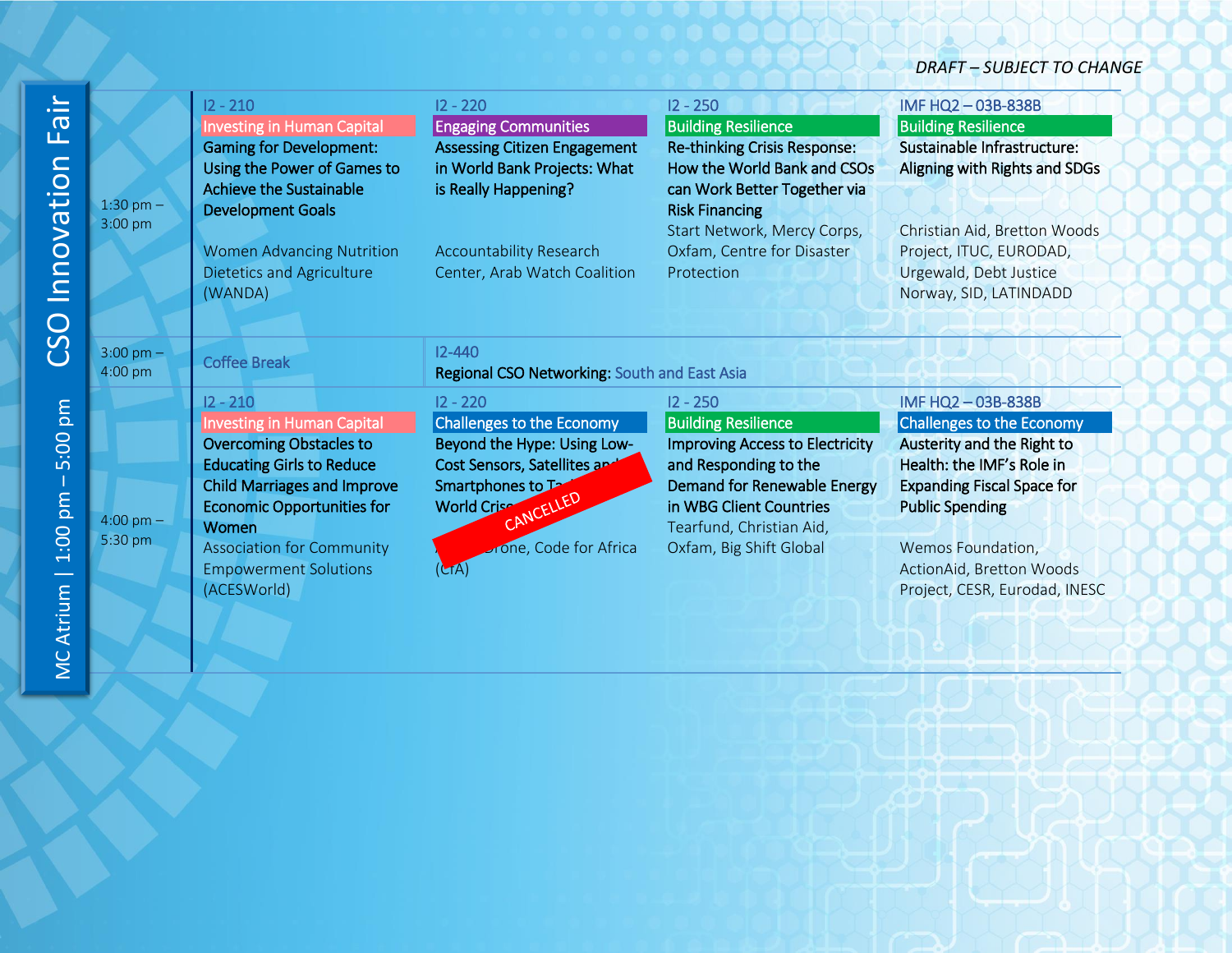*DRAFT – SUBJECT TO CHANGE*

| $\equiv$<br>$\sigma$<br>ட்<br>Innovation    | 1:30 pm $-$<br>3:00 pm         | $12 - 210$<br><b>Investing in Human Capital</b><br><b>Gaming for Development:</b><br>Using the Power of Games to<br>Achieve the Sustainable<br><b>Development Goals</b><br><b>Women Advancing Nutrition</b><br><b>Dietetics and Agriculture</b><br>(WANDA)                                   | $12 - 220$<br><b>Engaging Communities</b><br><b>Assessing Citizen Engagement</b><br>in World Bank Projects: What<br>is Really Happening?<br><b>Accountability Research</b><br>Center, Arab Watch Coalition | $12 - 250$<br><b>Building Resilience</b><br><b>Re-thinking Crisis Response:</b><br>How the World Bank and CSOs<br>can Work Better Together via<br><b>Risk Financing</b><br>Start Network, Mercy Corps,<br>Oxfam, Centre for Disaster<br>Protection | IMF HQ2-03B-838B<br><b>Building Resilience</b><br>Sustainable Infrastructure:<br>Aligning with Rights and SDGs<br>Christian Aid, Bretton Woods<br>Project, ITUC, EURODAD,<br>Urgewald, Debt Justice<br>Norway, SID, LATINDADD                             |
|---------------------------------------------|--------------------------------|----------------------------------------------------------------------------------------------------------------------------------------------------------------------------------------------------------------------------------------------------------------------------------------------|------------------------------------------------------------------------------------------------------------------------------------------------------------------------------------------------------------|----------------------------------------------------------------------------------------------------------------------------------------------------------------------------------------------------------------------------------------------------|-----------------------------------------------------------------------------------------------------------------------------------------------------------------------------------------------------------------------------------------------------------|
| CSO                                         | $3:00 \text{ pm} -$<br>4:00 pm | <b>Coffee Break</b>                                                                                                                                                                                                                                                                          | $12 - 440$<br>Regional CSO Networking: South and East Asia                                                                                                                                                 |                                                                                                                                                                                                                                                    |                                                                                                                                                                                                                                                           |
| pm<br>5:00<br>$1:00$ pm<br><b>MC Atrium</b> | $4:00 \text{ pm} -$<br>5:30 pm | $12 - 210$<br><b>Investing in Human Capital</b><br><b>Overcoming Obstacles to</b><br><b>Educating Girls to Reduce</b><br><b>Child Marriages and Improve</b><br><b>Economic Opportunities for</b><br>Women<br><b>Association for Community</b><br><b>Empowerment Solutions</b><br>(ACESWorld) | $12 - 220$<br><b>Challenges to the Economy</b><br>Beyond the Hype: Using Low-<br>Cost Sensors, Satellites are<br>Smartphones to Ta<br>CANCELLED<br><b>World Crise</b><br>one, Code for Africa<br>(LTA)     | $12 - 250$<br><b>Building Resilience</b><br><b>Improving Access to Electricity</b><br>and Responding to the<br><b>Demand for Renewable Energy</b><br>in WBG Client Countries<br>Tearfund, Christian Aid,<br>Oxfam, Big Shift Global                | IMF HQ2-03B-838B<br>Challenges to the Economy<br>Austerity and the Right to<br>Health: the IMF's Role in<br><b>Expanding Fiscal Space for</b><br><b>Public Spending</b><br>Wemos Foundation,<br>ActionAid, Bretton Woods<br>Project, CESR, Eurodad, INESC |
|                                             |                                |                                                                                                                                                                                                                                                                                              |                                                                                                                                                                                                            |                                                                                                                                                                                                                                                    |                                                                                                                                                                                                                                                           |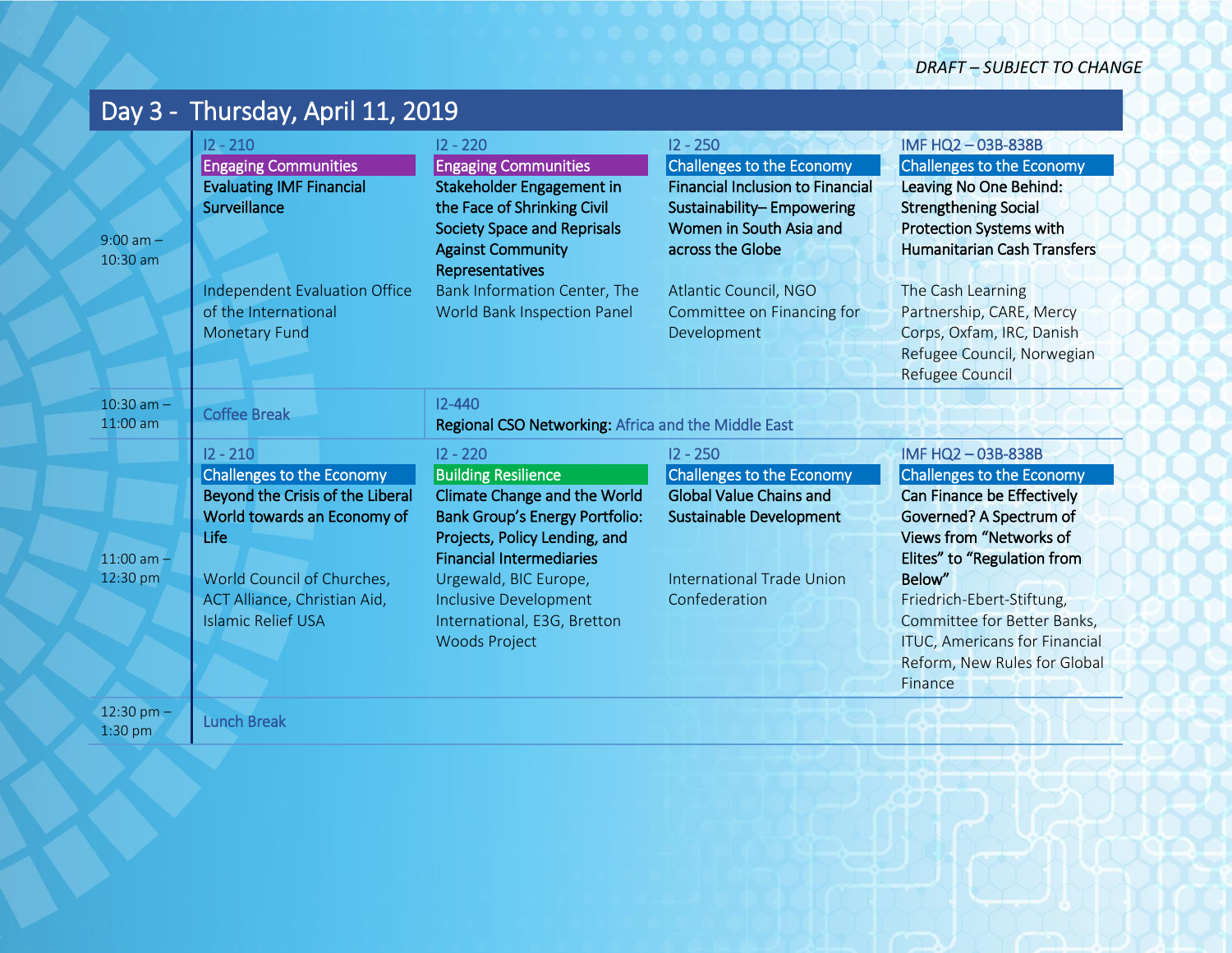| Day 3 - Thursday, April 11, 2019 |                                                                                                                                                                                                               |                                                                                                                                                                                                                                                                                                              |                                                                                                                                                                                                                                             |                                                                                                                                                                                                                                                                                                                                         |  |
|----------------------------------|---------------------------------------------------------------------------------------------------------------------------------------------------------------------------------------------------------------|--------------------------------------------------------------------------------------------------------------------------------------------------------------------------------------------------------------------------------------------------------------------------------------------------------------|---------------------------------------------------------------------------------------------------------------------------------------------------------------------------------------------------------------------------------------------|-----------------------------------------------------------------------------------------------------------------------------------------------------------------------------------------------------------------------------------------------------------------------------------------------------------------------------------------|--|
| $9:00$ am $-$<br>10:30 am        | $12 - 210$<br><b>Engaging Communities</b><br><b>Evaluating IMF Financial</b><br>Surveillance<br>Independent Evaluation Office<br>of the International<br><b>Monetary Fund</b>                                 | $12 - 220$<br><b>Engaging Communities</b><br>Stakeholder Engagement in<br>the Face of Shrinking Civil<br><b>Society Space and Reprisals</b><br><b>Against Community</b><br>Representatives<br>Bank Information Center, The<br>World Bank Inspection Panel                                                    | $12 - 250$<br><b>Challenges to the Economy</b><br><b>Financial Inclusion to Financial</b><br>Sustainability-Empowering<br>Women in South Asia and<br>across the Globe<br>Atlantic Council, NGO<br>Committee on Financing for<br>Development | IMF HQ2-03B-838B<br><b>Challenges to the Economy</b><br>Leaving No One Behind:<br><b>Strengthening Social</b><br><b>Protection Systems with</b><br><b>Humanitarian Cash Transfers</b><br>The Cash Learning<br>Partnership, CARE, Mercy<br>Corps, Oxfam, IRC, Danish<br>Refugee Council, Norwegian<br>Refugee Council                    |  |
| $10:30$ am $-$<br>$11:00$ am     | <b>Coffee Break</b>                                                                                                                                                                                           | $12 - 440$<br>Regional CSO Networking: Africa and the Middle East                                                                                                                                                                                                                                            |                                                                                                                                                                                                                                             |                                                                                                                                                                                                                                                                                                                                         |  |
| $11:00$ am $-$<br>12:30 pm       | $12 - 210$<br>Challenges to the Economy<br>Beyond the Crisis of the Liberal<br>World towards an Economy of<br>Life<br>World Council of Churches,<br>ACT Alliance, Christian Aid,<br><b>Islamic Relief USA</b> | $12 - 220$<br><b>Building Resilience</b><br><b>Climate Change and the World</b><br><b>Bank Group's Energy Portfolio:</b><br>Projects, Policy Lending, and<br><b>Financial Intermediaries</b><br>Urgewald, BIC Europe,<br><b>Inclusive Development</b><br>International, E3G, Bretton<br><b>Woods Project</b> | $12 - 250$<br>Challenges to the Economy<br><b>Global Value Chains and</b><br><b>Sustainable Development</b><br><b>International Trade Union</b><br>Confederation                                                                            | IMF HQ2-03B-838B<br><b>Challenges to the Economy</b><br>Can Finance be Effectively<br>Governed? A Spectrum of<br><b>Views from "Networks of</b><br>Elites" to "Regulation from<br>Below"<br>Friedrich-Ebert-Stiftung,<br>Committee for Better Banks,<br><b>ITUC, Americans for Financial</b><br>Reform, New Rules for Global<br>Finance |  |
| 12:30 pm $-$<br>$1:30$ pm        | <b>Lunch Break</b>                                                                                                                                                                                            |                                                                                                                                                                                                                                                                                                              |                                                                                                                                                                                                                                             |                                                                                                                                                                                                                                                                                                                                         |  |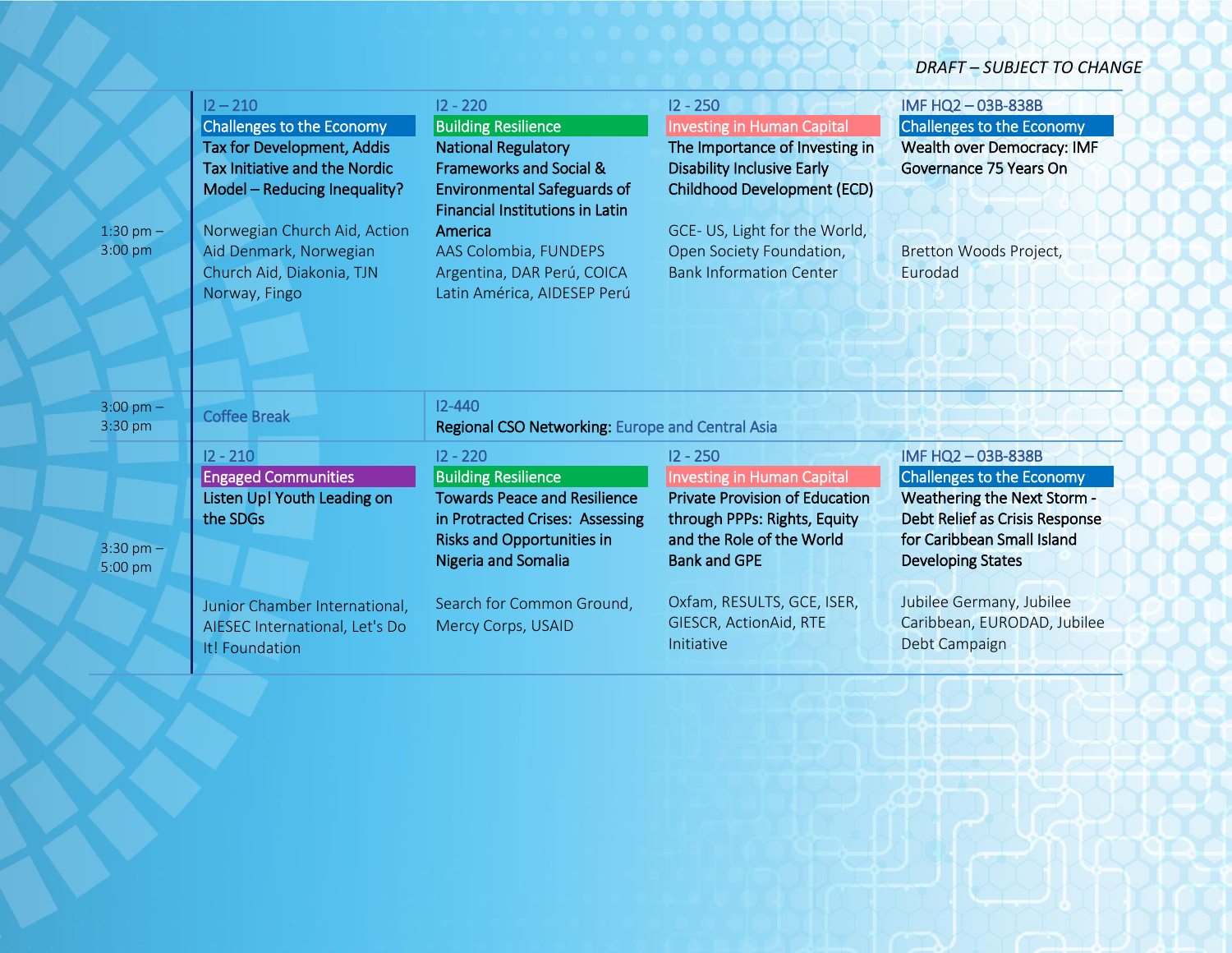*DRAFT – SUBJECT TO CHANGE*

| $1:30$ pm $-$<br>3:00 pm       | $12 - 210$<br>Challenges to the Economy<br>Tax for Development, Addis<br>Tax Initiative and the Nordic<br>Model - Reducing Inequality?<br>Norwegian Church Aid, Action<br>Aid Denmark, Norwegian<br>Church Aid, Diakonia, TJN<br>Norway, Fingo | $12 - 220$<br><b>Building Resilience</b><br><b>National Regulatory</b><br><b>Frameworks and Social &amp;</b><br><b>Environmental Safeguards of</b><br><b>Financial Institutions in Latin</b><br>America<br>AAS Colombia, FUNDEPS<br>Argentina, DAR Perú, COICA<br>Latin América, AIDESEP Perú | $12 - 250$<br><b>Investing in Human Capital</b><br>The Importance of Investing in<br><b>Disability Inclusive Early</b><br><b>Childhood Development (ECD)</b><br>GCE-US, Light for the World,<br>Open Society Foundation,<br><b>Bank Information Center</b> | IMF HQ2-03B-838B<br><b>Challenges to the Economy</b><br>Wealth over Democracy: IMF<br>Governance 75 Years On<br>Bretton Woods Project,<br>Eurodad                                                                                                           |
|--------------------------------|------------------------------------------------------------------------------------------------------------------------------------------------------------------------------------------------------------------------------------------------|-----------------------------------------------------------------------------------------------------------------------------------------------------------------------------------------------------------------------------------------------------------------------------------------------|------------------------------------------------------------------------------------------------------------------------------------------------------------------------------------------------------------------------------------------------------------|-------------------------------------------------------------------------------------------------------------------------------------------------------------------------------------------------------------------------------------------------------------|
| $3:00 \text{ pm} -$<br>3:30 pm | <b>Coffee Break</b>                                                                                                                                                                                                                            | $12 - 440$<br>Regional CSO Networking: Europe and Central Asia                                                                                                                                                                                                                                |                                                                                                                                                                                                                                                            |                                                                                                                                                                                                                                                             |
| $3:30 \text{ pm} -$<br>5:00 pm | $12 - 210$<br><b>Engaged Communities</b><br>Listen Up! Youth Leading on<br>the SDGs<br>Junior Chamber International,<br>AIESEC International, Let's Do<br>It! Foundation                                                                       | $12 - 220$<br><b>Building Resilience</b><br><b>Towards Peace and Resilience</b><br>in Protracted Crises: Assessing<br><b>Risks and Opportunities in</b><br>Nigeria and Somalia<br>Search for Common Ground,<br>Mercy Corps, USAID                                                             | $12 - 250$<br><b>Investing in Human Capital</b><br><b>Private Provision of Education</b><br>through PPPs: Rights, Equity<br>and the Role of the World<br><b>Bank and GPE</b><br>Oxfam, RESULTS, GCE, ISER,<br>GIESCR, ActionAid, RTE<br>Initiative         | IMF HQ2-03B-838B<br><b>Challenges to the Economy</b><br>Weathering the Next Storm -<br>Debt Relief as Crisis Response<br>for Caribbean Small Island<br><b>Developing States</b><br>Jubilee Germany, Jubilee<br>Caribbean, EURODAD, Jubilee<br>Debt Campaign |